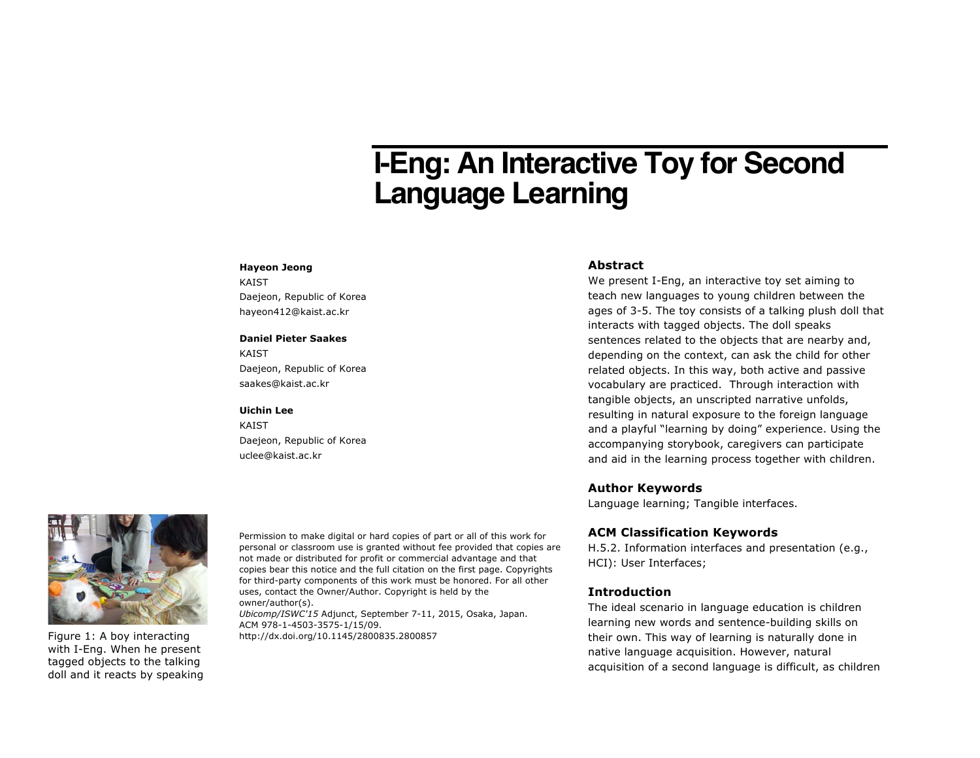# **I-Eng: An Interactive Toy for Second Language Learning**

#### **Hayeon Jeong**

KAIST Daejeon, Republic of Korea hayeon412@kaist.ac.kr

#### **Daniel Pieter Saakes**

KAIST Daejeon, Republic of Korea saakes@kaist.ac.kr

#### **Uichin Lee**

KAIST Daejeon, Republic of Korea uclee@kaist.ac.kr

#### **Abstract**

We present I-Eng, an interactive toy set aiming to teach new languages to young children between the ages of 3-5. The toy consists of a talking plush doll that interacts with tagged objects. The doll speaks sentences related to the objects that are nearby and, depending on the context, can ask the child for other related objects. In this way, both active and passive vocabulary are practiced. Through interaction with tangible objects, an unscripted narrative unfolds, resulting in natural exposure to the foreign language and a playful "learning by doing" experience. Using the accompanying storybook, caregivers can participate and aid in the learning process together with children.

## **Author Keywords**

Language learning; Tangible interfaces.

### **ACM Classification Keywords**

H.5.2. Information interfaces and presentation (e.g., HCI): User Interfaces;

## **Introduction**

The ideal scenario in language education is children learning new words and sentence-building skills on their own. This way of learning is naturally done in native language acquisition. However, natural acquisition of a second language is difficult, as children



Figure 1: A boy interacting with I-Eng. When he present tagged objects to the talking doll and it reacts by speaking Permission to make digital or hard copies of part or all of this work for personal or classroom use is granted without fee provided that copies are not made or distributed for profit or commercial advantage and that copies bear this notice and the full citation on the first page. Copyrights for third-party components of this work must be honored. For all other uses, contact the Owner/Author. Copyright is held by the owner/author(s).

*Ubicomp/ISWC'15* Adjunct, September 7-11, 2015, Osaka, Japan. ACM 978-1-4503-3575-1/15/09.

http://dx.doi.org/10.1145/2800835.2800857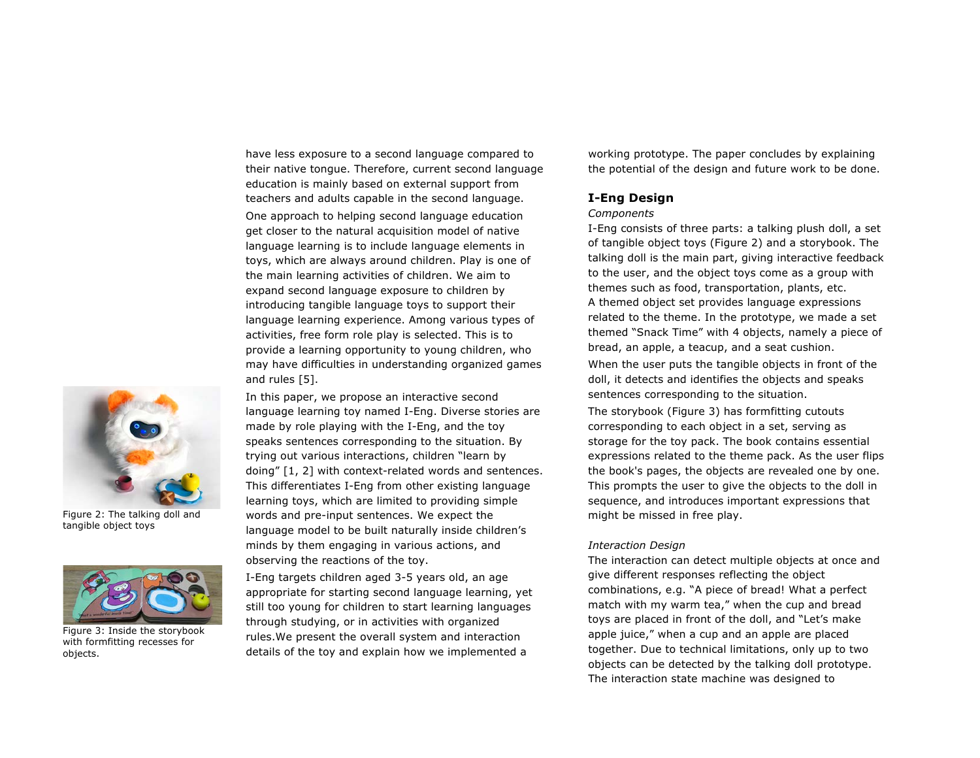have less exposure to a second language compared to their native tongue. Therefore, current second language education is mainly based on external support from teachers and adults capable in the second language.

One approach to helping second language education get closer to the natural acquisition model of native language learning is to include language elements in toys, which are always around children. Play is one of the main learning activities of children. We aim to expand second language exposure to children by introducing tangible language toys to support their language learning experience. Among various types of activities, free form role play is selected. This is to provide a learning opportunity to young children, who may have difficulties in understanding organized games and rules [5].

In this paper, we propose an interactive second language learning toy named I-Eng. Diverse stories are made by role playing with the I-Eng, and the toy speaks sentences corresponding to the situation. By trying out various interactions, children "learn by doing" [1, 2] with context-related words and sentences. This differentiates I-Eng from other existing language learning toys, which are limited to providing simple words and pre-input sentences. We expect the language model to be built naturally inside children's minds by them engaging in various actions, and observing the reactions of the toy.

I-Eng targets children aged 3-5 years old, an age appropriate for starting second language learning, yet still too young for children to start learning languages through studying, or in activities with organized rules.We present the overall system and interaction details of the toy and explain how we implemented a

working prototype. The paper concludes by explaining the potential of the design and future work to be done.

### **I-Eng Design**

#### *Components*

I-Eng consists of three parts: a talking plush doll, a set of tangible object toys (Figure 2) and a storybook. The talking doll is the main part, giving interactive feedback to the user, and the object toys come as a group with themes such as food, transportation, plants, etc. A themed object set provides language expressions related to the theme. In the prototype, we made a set themed "Snack Time" with 4 objects, namely a piece of bread, an apple, a teacup, and a seat cushion.

When the user puts the tangible objects in front of the doll, it detects and identifies the objects and speaks sentences corresponding to the situation.

The storybook (Figure 3) has formfitting cutouts corresponding to each object in a set, serving as storage for the toy pack. The book contains essential expressions related to the theme pack. As the user flips the book's pages, the objects are revealed one by one. This prompts the user to give the objects to the doll in sequence, and introduces important expressions that might be missed in free play.

#### *Interaction Design*

The interaction can detect multiple objects at once and give different responses reflecting the object combinations, e.g. "A piece of bread! What a perfect match with my warm tea," when the cup and bread toys are placed in front of the doll, and "Let's make apple juice," when a cup and an apple are placed together. Due to technical limitations, only up to two objects can be detected by the talking doll prototype. The interaction state machine was designed to



Figure 2: The talking doll and tangible object toys



Figure 3: Inside the storybook with formfitting recesses for objects.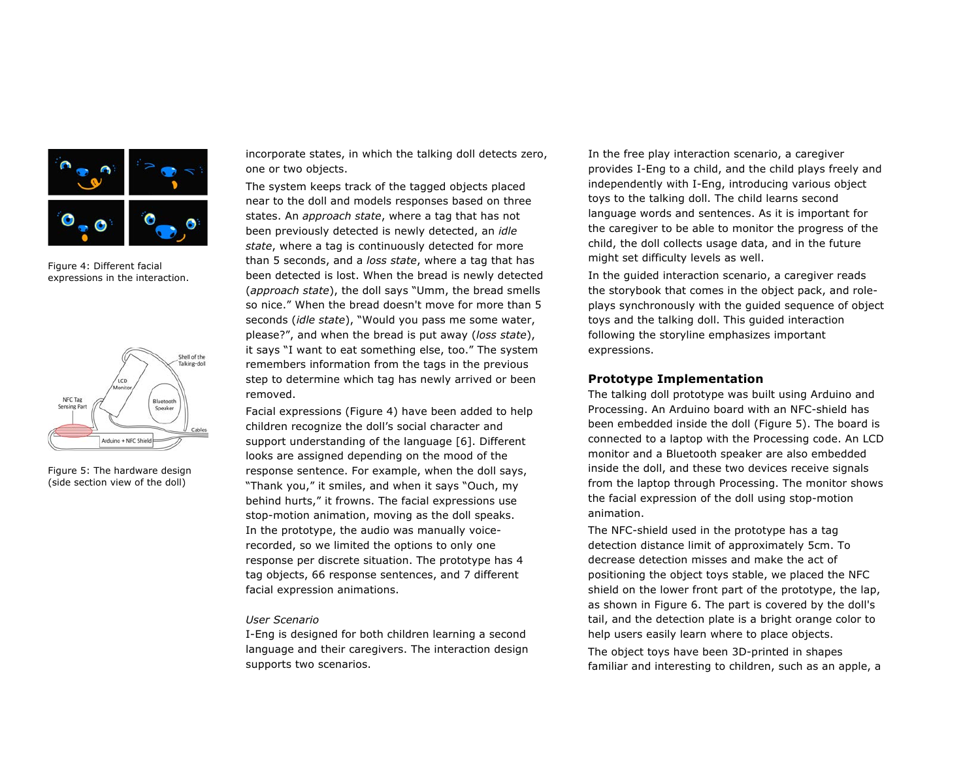

Figure 4: Different facial expressions in the interaction.



Figure 5: The hardware design (side section view of the doll)

incorporate states, in which the talking doll detects zero, one or two objects.

The system keeps track of the tagged objects placed near to the doll and models responses based on three states. An *approach state*, where a tag that has not been previously detected is newly detected, an *idle state*, where a tag is continuously detected for more than 5 seconds, and a *loss state*, where a tag that has been detected is lost. When the bread is newly detected (*approach state*), the doll says "Umm, the bread smells so nice." When the bread doesn't move for more than 5 seconds (*idle state*), "Would you pass me some water, please?", and when the bread is put away (*loss state*), it says "I want to eat something else, too." The system remembers information from the tags in the previous step to determine which tag has newly arrived or been removed.

Facial expressions (Figure 4) have been added to help children recognize the doll's social character and support understanding of the language [6]. Different looks are assigned depending on the mood of the response sentence. For example, when the doll says, "Thank you," it smiles, and when it says "Ouch, my behind hurts," it frowns. The facial expressions use stop-motion animation, moving as the doll speaks. In the prototype, the audio was manually voicerecorded, so we limited the options to only one response per discrete situation. The prototype has 4 tag objects, 66 response sentences, and 7 different facial expression animations.

#### *User Scenario*

I-Eng is designed for both children learning a second language and their caregivers. The interaction design supports two scenarios.

In the free play interaction scenario, a caregiver provides I-Eng to a child, and the child plays freely and independently with I-Eng, introducing various object toys to the talking doll. The child learns second language words and sentences. As it is important for the caregiver to be able to monitor the progress of the child, the doll collects usage data, and in the future might set difficulty levels as well.

In the guided interaction scenario, a caregiver reads the storybook that comes in the object pack, and roleplays synchronously with the guided sequence of object toys and the talking doll. This guided interaction following the storyline emphasizes important expressions.

## **Prototype Implementation**

The talking doll prototype was built using Arduino and Processing. An Arduino board with an NFC-shield has been embedded inside the doll (Figure 5). The board is connected to a laptop with the Processing code. An LCD monitor and a Bluetooth speaker are also embedded inside the doll, and these two devices receive signals from the laptop through Processing. The monitor shows the facial expression of the doll using stop-motion animation.

The NFC-shield used in the prototype has a tag detection distance limit of approximately 5cm. To decrease detection misses and make the act of positioning the object toys stable, we placed the NFC shield on the lower front part of the prototype, the lap, as shown in Figure 6. The part is covered by the doll's tail, and the detection plate is a bright orange color to help users easily learn where to place objects.

The object toys have been 3D-printed in shapes familiar and interesting to children, such as an apple, a